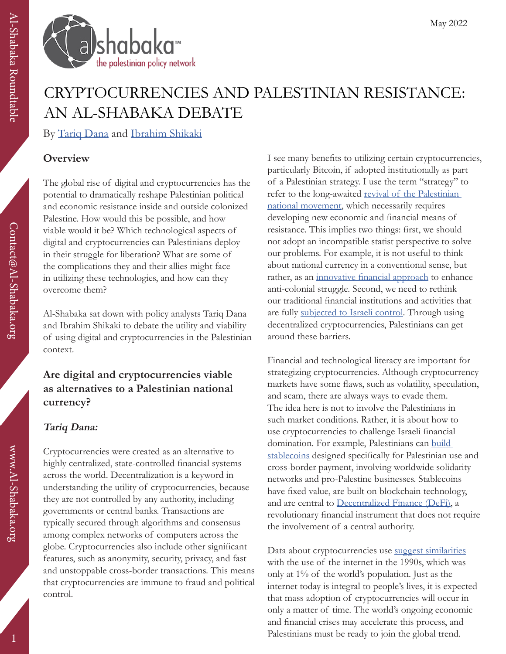

# CRYPTOCURRENCIES AND PALESTINIAN RESISTANCE: AN AL-SHABAKA DEBATE

By [Tariq Dana](https://al-shabaka.org/en/author/TariqDana/) and [Ibrahim Shikaki](https://al-shabaka.org/en/author/IbrahimShikaki/)

## **Overview**

The global rise of digital and cryptocurrencies has the potential to dramatically reshape Palestinian political and economic resistance inside and outside colonized Palestine. How would this be possible, and how viable would it be? Which technological aspects of digital and cryptocurrencies can Palestinians deploy in their struggle for liberation? What are some of the complications they and their allies might face in utilizing these technologies, and how can they overcome them?

Al-Shabaka sat down with policy analysts Tariq Dana and Ibrahim Shikaki to debate the utility and viability of using digital and cryptocurrencies in the Palestinian context.

## **Are digital and cryptocurrencies viable as alternatives to a Palestinian national currency?**

## **Tariq Dana:**

Cryptocurrencies were created as an alternative to highly centralized, state-controlled financial systems across the world. Decentralization is a keyword in understanding the utility of cryptocurrencies, because they are not controlled by any authority, including governments or central banks. Transactions are typically secured through algorithms and consensus among complex networks of computers across the globe. Cryptocurrencies also include other significant features, such as anonymity, security, privacy, and fast and unstoppable cross-border transactions. This means that cryptocurrencies are immune to fraud and political control.

I see many benefits to utilizing certain cryptocurrencies, particularly Bitcoin, if adopted institutionally as part of a Palestinian strategy. I use the term "strategy" to refer to the long-awaited revival of the Palestinian [national movement](https://al-shabaka.org/focuses/reclaiming-the-plo-re-engaging-youth/), which necessarily requires developing new economic and financial means of resistance. This implies two things: first, we should not adopt an incompatible statist perspective to solve our problems. For example, it is not useful to think about national currency in a conventional sense, but rather, as an *[innovative financial approach](https://bitcoinmagazine.com/culture/can-bitcoin-bring-palestine-freedom)* to enhance anti-colonial struggle. Second, we need to rethink our traditional financial institutions and activities that are fully [subjected to Israeli control.](https://al-shabaka.org/briefs/demise-of-palestinian-productive-sectors/) Through using decentralized cryptocurrencies, Palestinians can get around these barriers.

Financial and technological literacy are important for strategizing cryptocurrencies. Although cryptocurrency markets have some flaws, such as volatility, speculation, and scam, there are always ways to evade them. The idea here is not to involve the Palestinians in such market conditions. Rather, it is about how to use cryptocurrencies to challenge Israeli financial domination. For example, Palestinians can build [stablecoins](https://economictimes.indiatimes.com/markets/cryptocurrency/stablecoins-what-they-are-and-why-you-should-consider-investing-in-them/articleshow/89769727.cms) designed specifically for Palestinian use and cross-border payment, involving worldwide solidarity networks and pro-Palestine businesses. Stablecoins have fixed value, are built on blockchain technology, and are central to [Decentralized Finance \(DeFi\)](https://www.forbes.com/sites/matthougan/2021/11/09/people-dramatically-underestimate-the-power-of-defi-a-lesson-from-airbnb/?sh=7f06c3cc278c), a revolutionary financial instrument that does not require the involvement of a central authority.

Data about cryptocurrencies use [suggest similarities](https://www.newsbtc.com/news/why-crypto-is-following-the-1990-internet-adoption-curve/) with the use of the internet in the 1990s, which was only at 1% of the world's population. Just as the internet today is integral to people's lives, it is expected that mass adoption of cryptocurrencies will occur in only a matter of time. The world's ongoing economic and financial crises may accelerate this process, and Palestinians must be ready to join the global trend.

www.Al-Shabaka.org

www.Al-Shabaka.org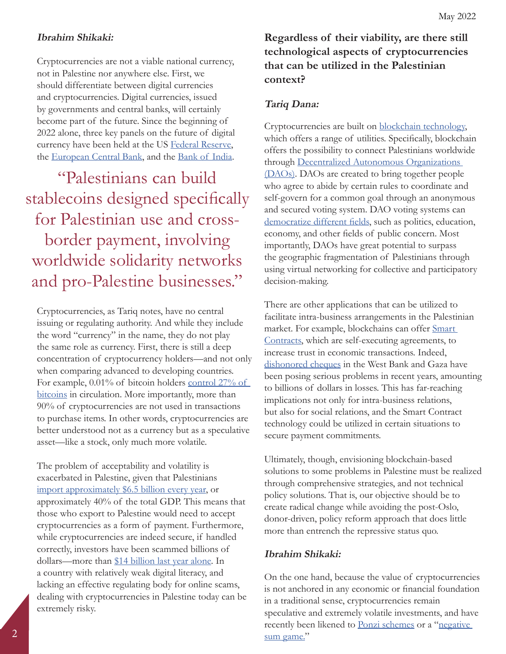#### May 2022

#### **Ibrahim Shikaki:**

Cryptocurrencies are not a viable national currency, not in Palestine nor anywhere else. First, we should differentiate between digital currencies and cryptocurrencies. Digital currencies, issued by governments and central banks, will certainly become part of the future. Since the beginning of 2022 alone, three key panels on the future of digital currency have been held at the US [Federal Reserve,](https://www.federalreserve.gov/newsevents/pressreleases/other20220120a.htm) the [European Central Bank](https://www.ecb.europa.eu/press/key/date/2022/html/ecb.sp220218_1~938e881b13.en.html), and the [Bank of India.](https://www.cnbc.com/2022/02/01/india-digital-currency-to-launch-in-2022-2023-finance-minster-says.html)

"Palestinians can build stablecoins designed specifically for Palestinian use and crossborder payment, involving worldwide solidarity networks and pro-Palestine businesses."

Cryptocurrencies, as Tariq notes, have no central issuing or regulating authority. And while they include the word "currency" in the name, they do not play the same role as currency. First, there is still a deep concentration of cryptocurrency holders—and not only when comparing advanced to developing countries. For example, 0.01% of bitcoin holders control 27% of [bitcoins](https://www.wsj.com/articles/bitcoins-one-percent-controls-lions-share-of-the-cryptocurrencys-wealth-11639996204) in circulation. More importantly, more than 90% of cryptocurrencies are not used in transactions to purchase items. In other words, cryptocurrencies are better understood not as a currency but as a speculative asset—like a stock, only much more volatile.

The problem of acceptability and volatility is exacerbated in Palestine, given that Palestinians [import approximately \\$6.5 billion every year](https://www.pcbs.gov.ps/statisticsIndicatorsTables.aspx?lang=en&table_id=1328), or approximately 40% of the total GDP. This means that those who export to Palestine would need to accept cryptocurrencies as a form of payment. Furthermore, while cryptocurrencies are indeed secure, if handled correctly, investors have been scammed billions of dollars—more than [\\$14 billion last year alone](https://time.com/nextadvisor/investing/cryptocurrency/common-crypto-scams/). In a country with relatively weak digital literacy, and lacking an effective regulating body for online scams, dealing with cryptocurrencies in Palestine today can be extremely risky.

**Regardless of their viability, are there still technological aspects of cryptocurrencies that can be utilized in the Palestinian context?**

### **Tariq Dana:**

Cryptocurrencies are built on [blockchain technology,](https://time.com/nextadvisor/investing/cryptocurrency/what-is-blockchain/) which offers a range of utilities. Specifically, blockchain offers the possibility to connect Palestinians worldwide through [Decentralized Autonomous Organizations](https://www.econstor.eu/bitstream/10419/235960/1/1764253469.pdf)  [\(DAOs\).](https://www.econstor.eu/bitstream/10419/235960/1/1764253469.pdf) DAOs are created to bring together people who agree to abide by certain rules to coordinate and self-govern for a common goal through an anonymous and secured voting system. DAO voting systems can [democratize different fields](https://home.kpmg/xx/en/home/insights/2022/04/education-is-democratized-through-daos.html), such as politics, education, economy, and other fields of public concern. Most importantly, DAOs have great potential to surpass the geographic fragmentation of Palestinians through using virtual networking for collective and participatory decision-making.

There are other applications that can be utilized to facilitate intra-business arrangements in the Palestinian market. For example, blockchains can offer Smart [Contracts,](https://www.ibm.com/topics/smart-contracts) which are self-executing agreements, to increase trust in economic transactions. Indeed, [dishonored cheques](https://ramallah.news/post/177039/2-%D9%85%D9%84%D9%8A%D8%A7%D8%B1-%D8%AF%D9%88%D9%84%D8%A7%D8%B1-%D9%82%D9%8A%D9%85%D8%A9-%D8%A7%D9%84%D8%B4%D9%8A%D9%83%D8%A7%D8%AA-%D8%A7%D9%84%D9%85%D8%B1%D8%AA%D8%AC%D8%B9%D8%A9-%D9%81%D9%8A-%D9%81%D9%84%D8%B3%D8%B7%D9%8A%D9%86-%D8%AE%D9%84%D8%A7%D9%84-2020) in the West Bank and Gaza have been posing serious problems in recent years, amounting to billions of dollars in losses. This has far-reaching implications not only for intra-business relations, but also for social relations, and the Smart Contract technology could be utilized in certain situations to secure payment commitments.

Ultimately, though, envisioning blockchain-based solutions to some problems in Palestine must be realized through comprehensive strategies, and not technical policy solutions. That is, our objective should be to create radical change while avoiding the post-Oslo, donor-driven, policy reform approach that does little more than entrench the repressive status quo.

## **Ibrahim Shikaki:**

On the one hand, because the value of cryptocurrencies is not anchored in any economic or financial foundation in a traditional sense, cryptocurrencies remain speculative and extremely volatile investments, and have recently been likened to <u>Ponzi schemes</u> or a "[negative](https://www.ft.com/content/83a14261-598d-4601-87fc-5dde528b33d0) [sum game.](https://www.ft.com/content/83a14261-598d-4601-87fc-5dde528b33d0)"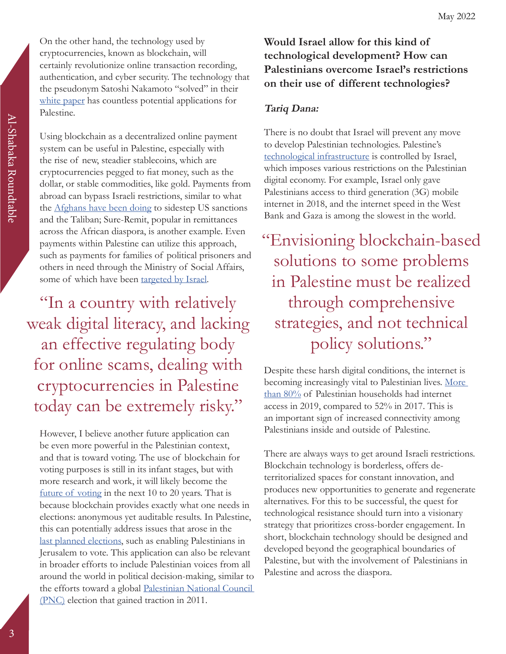On the other hand, the technology used by cryptocurrencies, known as blockchain, will certainly revolutionize online transaction recording, authentication, and cyber security. The technology that the pseudonym Satoshi Nakamoto "solved" in their [white paper](https://www.debr.io/article/21260.pdf) has countless potential applications for Palestine.

Using blockchain as a decentralized online payment system can be useful in Palestine, especially with the rise of new, steadier stablecoins, which are cryptocurrencies pegged to fiat money, such as the dollar, or stable commodities, like gold. Payments from abroad can bypass Israeli restrictions, similar to what the [Afghans have been doing](https://theintercept.com/2022/01/19/crypto-afghanistan-sanctions-taliban/) to sidestep US sanctions and the Taliban; Sure-Remit, popular in remittances across the African diaspora, is another example. Even payments within Palestine can utilize this approach, such as payments for families of political prisoners and others in need through the Ministry of Social Affairs, some of which have been [targeted by Israel](https://www.brookings.edu/blog/order-from-chaos/2020/12/07/why-the-discourse-about-palestinian-payments-to-prisoners-families-is-distorted-and-misleading/).

"In a country with relatively weak digital literacy, and lacking an effective regulating body for online scams, dealing with cryptocurrencies in Palestine today can be extremely risky."

However, I believe another future application can be even more powerful in the Palestinian context, and that is toward voting. The use of blockchain for voting purposes is still in its infant stages, but with more research and work, it will likely become the [future of voting](https://blogs.lse.ac.uk/usappblog/2020/09/25/long-read-how-blockchain-can-make-electronic-voting-more-secure/) in the next 10 to 20 years. That is because blockchain provides exactly what one needs in elections: anonymous yet auditable results. In Palestine, this can potentially address issues that arose in the [last planned elections,](https://www.aljazeera.com/news/2021/4/30/palestinians-polls-hamas-plo) such as enabling Palestinians in Jerusalem to vote. This application can also be relevant in broader efforts to include Palestinian voices from all around the world in political decision-making, similar to the efforts toward a global [Palestinian National Council](https://www.aljazeera.com/opinions/2011/8/23/its-time-for-all-palestinians-to-be-heard)  [\(PNC\)](https://www.aljazeera.com/opinions/2011/8/23/its-time-for-all-palestinians-to-be-heard) election that gained traction in 2011.

# **Would Israel allow for this kind of technological development? How can Palestinians overcome Israel's restrictions on their use of different technologies?**

## **Tariq Dana:**

There is no doubt that Israel will prevent any move to develop Palestinian technologies. Palestine's [technological infrastructure](https://al-shabaka.org/briefs/ict-in-palestine-challenging-power-dynamics-and-limitations/) is controlled by Israel, which imposes various restrictions on the Palestinian digital economy. For example, Israel only gave Palestinians access to third generation (3G) mobile internet in 2018, and the internet speed in the West Bank and Gaza is among the slowest in the world.

"Envisioning blockchain-based solutions to some problems in Palestine must be realized through comprehensive strategies, and not technical policy solutions."

Despite these harsh digital conditions, the internet is becoming increasingly vital to Palestinian lives. More [than 80%](https://www.al-monitor.com/originals/2022/02/world-bank-report-notes-improvement-palestinian-digital-economy) of Palestinian households had internet access in 2019, compared to 52% in 2017. This is an important sign of increased connectivity among Palestinians inside and outside of Palestine.

There are always ways to get around Israeli restrictions. Blockchain technology is borderless, offers deterritorialized spaces for constant innovation, and produces new opportunities to generate and regenerate alternatives. For this to be successful, the quest for technological resistance should turn into a visionary strategy that prioritizes cross-border engagement. In short, blockchain technology should be designed and developed beyond the geographical boundaries of Palestine, but with the involvement of Palestinians in Palestine and across the diaspora.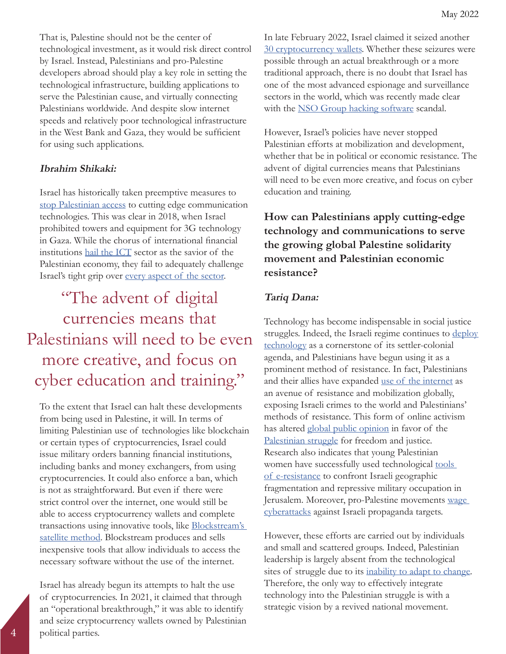That is, Palestine should not be the center of technological investment, as it would risk direct control by Israel. Instead, Palestinians and pro-Palestine developers abroad should play a key role in setting the technological infrastructure, building applications to serve the Palestinian cause, and virtually connecting Palestinians worldwide. And despite slow internet speeds and relatively poor technological infrastructure in the West Bank and Gaza, they would be sufficient for using such applications.

### **Ibrahim Shikaki:**

Israel has historically taken preemptive measures to [stop Palestinian access](https://al-shabaka.org/briefs/ict-the-shackled-engine-of-palestines-development/) to cutting edge communication technologies. This was clear in 2018, when Israel prohibited towers and equipment for 3G technology in Gaza. While the chorus of international financial institutions [hail the ICT](https://documents1.worldbank.org/curated/en/472671640152521943/pdf/Palestinian-Digital-Economy-Assessment.pdf) sector as the savior of the Palestinian economy, they fail to adequately challenge Israel's tight grip over [every aspect of the sector.](https://www.apc.org/sites/default/files/Report_7amleh_English_final.pdf)

"The advent of digital currencies means that Palestinians will need to be even more creative, and focus on cyber education and training."

To the extent that Israel can halt these developments from being used in Palestine, it will. In terms of limiting Palestinian use of technologies like blockchain or certain types of cryptocurrencies, Israel could issue military orders banning financial institutions, including banks and money exchangers, from using cryptocurrencies. It could also enforce a ban, which is not as straightforward. But even if there were strict control over the internet, one would still be able to access cryptocurrency wallets and complete transactions using innovative tools, like **Blockstream's** [satellite method](https://www.aljazeera.com/news/2021/7/9/israel-says-it-is-targeting-hamas-cryptocurrency-accounts). Blockstream produces and sells inexpensive tools that allow individuals to access the necessary software without the use of the internet.

Israel has already begun its attempts to halt the use of cryptocurrencies. In 2021, it claimed that through an "operational breakthrough," it was able to identify and seize cryptocurrency wallets owned by Palestinian political parties.

In late February 2022, Israel claimed it seized another [30 cryptocurrency wallets.](https://www.timesofisrael.com/liveblog_entry/defense-ministry-seizes-cryptocurrency-digital-wallets-allegedly-intended-to-fund-hamas/) Whether these seizures were possible through an actual breakthrough or a more traditional approach, there is no doubt that Israel has one of the most advanced espionage and surveillance sectors in the world, which was recently made clear with the [NSO Group hacking software](https://www.theguardian.com/world/2021/dec/03/us-state-department-officials-iphones-hacked-nso-group-spyware) scandal.

However, Israel's policies have never stopped Palestinian efforts at mobilization and development, whether that be in political or economic resistance. The advent of digital currencies means that Palestinians will need to be even more creative, and focus on cyber education and training.

## **How can Palestinians apply cutting-edge technology and communications to serve the growing global Palestine solidarity movement and Palestinian economic resistance?**

### **Tariq Dana:**

Technology has become indispensable in social justice struggles. Indeed, the Israeli regime continues to deploy [technology](https://www.middleeasteye.net/opinion/israel-palestine-surveillance-tech-dystopia) as a cornerstone of its settler-colonial agenda, and Palestinians have begun using it as a prominent method of resistance. In fact, Palestinians and their allies have expanded [use of the internet](https://digital.lib.washington.edu/researchworks/handle/1773/40280) as an avenue of resistance and mobilization globally, exposing Israeli crimes to the world and Palestinians' methods of resistance. This form of online activism has altered [global public opinion](https://www.nytimes.com/2021/05/18/world/middleeast/palestinians-social-media.html) in favor of the [Palestinian struggle](https://al-shabaka.org/podcasts/palestinian-resistance-and-shifting-the-media-narrative-with-marwa-fatafta/) for freedom and justice. Research also indicates that young Palestinian women have successfully used technological tools [of e-resistance](https://www.jstor.org/stable/44173471?seq=1) to confront Israeli geographic fragmentation and repressive military occupation in Jerusalem. Moreover, pro-Palestine movements [wage](https://www.aljazeera.com/news/2022/3/15/israel-says-government-sites-targeted-by-cyberattack-2)  [cyberattacks](https://www.aljazeera.com/news/2022/3/15/israel-says-government-sites-targeted-by-cyberattack-2) against Israeli propaganda targets.

However, these efforts are carried out by individuals and small and scattered groups. Indeed, Palestinian leadership is largely absent from the technological sites of struggle due to its [inability to adapt to change.](https://al-shabaka.org/circles/neopatrimonialism-corruption-and-the-palestinian-authority-pathways-to-real-reform/) Therefore, the only way to effectively integrate technology into the Palestinian struggle is with a strategic vision by a revived national movement.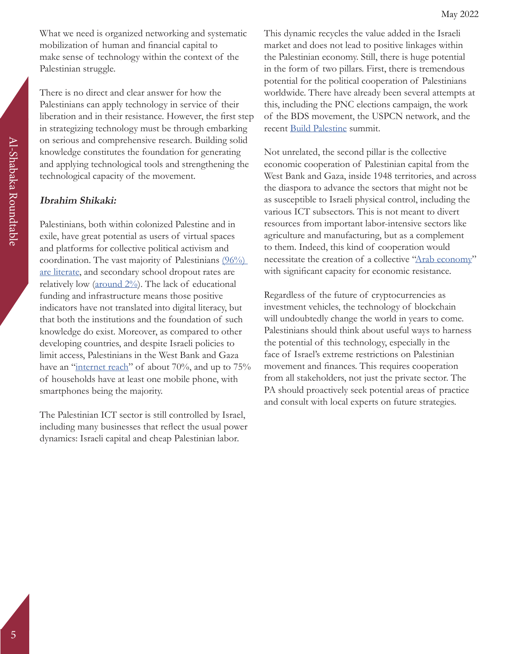What we need is organized networking and systematic mobilization of human and financial capital to make sense of technology within the context of the Palestinian struggle.

There is no direct and clear answer for how the Palestinians can apply technology in service of their liberation and in their resistance. However, the first step in strategizing technology must be through embarking on serious and comprehensive research. Building solid knowledge constitutes the foundation for generating and applying technological tools and strengthening the technological capacity of the movement.

#### **Ibrahim Shikaki:**

Palestinians, both within colonized Palestine and in exile, have great potential as users of virtual spaces and platforms for collective political activism and coordination. The vast majority of Palestinians [\(96%\)](https://www.middleeasteye.net/news/spread-word-palestine-has-one-worlds-highest-literacy-rates)  [are literate](https://www.middleeasteye.net/news/spread-word-palestine-has-one-worlds-highest-literacy-rates), and secondary school dropout rates are relatively low ( $\frac{\text{around } 2\%}{\text{Total } 2\%}$ ). The lack of educational funding and infrastructure means those positive indicators have not translated into digital literacy, but that both the institutions and the foundation of such knowledge do exist. Moreover, as compared to other developing countries, and despite Israeli policies to limit access, Palestinians in the West Bank and Gaza have an "[internet reach"](https://palestine.unfpa.org/en/news/pcbs-unfpa-joint-press-release-occasion-world-population-day#:~:text=While%20the%20percentage%20of%20individuals,compared%20to%2069%25%20for%20females.) of about 70%, and up to 75% of households have at least one mobile phone, with smartphones being the majority.

The Palestinian ICT sector is still controlled by Israel, including many businesses that reflect the usual power dynamics: Israeli capital and cheap Palestinian labor.

This dynamic recycles the value added in the Israeli market and does not lead to positive linkages within the Palestinian economy. Still, there is huge potential in the form of two pillars. First, there is tremendous potential for the political cooperation of Palestinians worldwide. There have already been several attempts at this, including the PNC elections campaign, the work of the BDS movement, the USPCN network, and the recent [Build Palestine](https://buildpalestine.com/summit/) summit.

Not unrelated, the second pillar is the collective economic cooperation of Palestinian capital from the West Bank and Gaza, inside 1948 territories, and across the diaspora to advance the sectors that might not be as susceptible to Israeli physical control, including the various ICT subsectors. This is not meant to divert resources from important labor-intensive sectors like agriculture and manufacturing, but as a complement to them. Indeed, this kind of cooperation would necessitate the creation of a collective ["Arab economy](https://assafirarabi.com/en/38166/2021/05/30/the-resurgent-arab-economy-of-palestine/)" with significant capacity for economic resistance.

Regardless of the future of cryptocurrencies as investment vehicles, the technology of blockchain will undoubtedly change the world in years to come. Palestinians should think about useful ways to harness the potential of this technology, especially in the face of Israel's extreme restrictions on Palestinian movement and finances. This requires cooperation from all stakeholders, not just the private sector. The PA should proactively seek potential areas of practice and consult with local experts on future strategies.